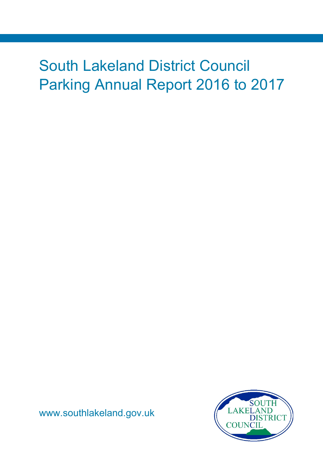# South Lakeland District Council Parking Annual Report 2016 to 2017



[www.southlakeland.gov.uk](http://www.southlakeland.gov.uk/)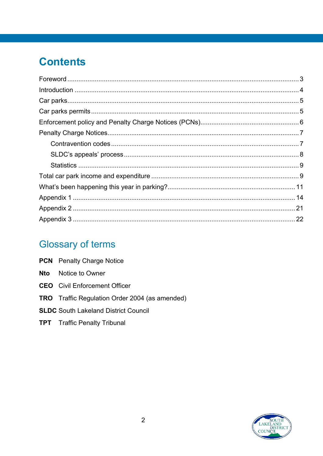# **Contents**

# **Glossary of terms**

|     | <b>PCN</b> Penalty Charge Notice                      |
|-----|-------------------------------------------------------|
| Nto | Notice to Owner                                       |
|     | <b>CEO</b> Civil Enforcement Officer                  |
|     | <b>TRO</b> Traffic Regulation Order 2004 (as amended) |
|     | <b>SLDC</b> South Lakeland District Council           |
|     | <b>TPT</b> Traffic Penalty Tribunal                   |

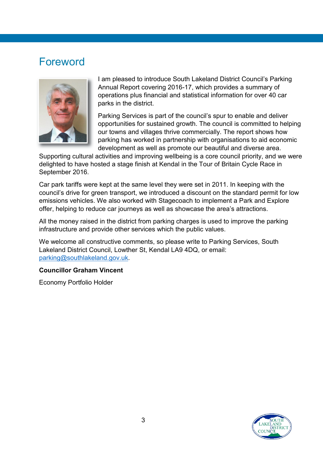## <span id="page-2-0"></span>Foreword



I am pleased to introduce South Lakeland District Council's Parking Annual Report covering 2016-17, which provides a summary of operations plus financial and statistical information for over 40 car parks in the district.

Parking Services is part of the council's spur to enable and deliver opportunities for sustained growth. The council is committed to helping our towns and villages thrive commercially. The report shows how parking has worked in partnership with organisations to aid economic development as well as promote our beautiful and diverse area.

Supporting cultural activities and improving wellbeing is a core council priority, and we were delighted to have hosted a stage finish at Kendal in the Tour of Britain Cycle Race in September 2016.

Car park tariffs were kept at the same level they were set in 2011. In keeping with the council's drive for green transport, we introduced a discount on the standard permit for low emissions vehicles. We also worked with Stagecoach to implement a Park and Explore offer, helping to reduce car journeys as well as showcase the area's attractions.

All the money raised in the district from parking charges is used to improve the parking infrastructure and provide other services which the public values.

We welcome all constructive comments, so please write to Parking Services, South Lakeland District Council, Lowther St, Kendal LA9 4DQ, or email: [parking@southlakeland.gov.uk.](mailto:parking@southlakeland.gov.uk)

#### **Councillor Graham Vincent**

Economy Portfolio Holder

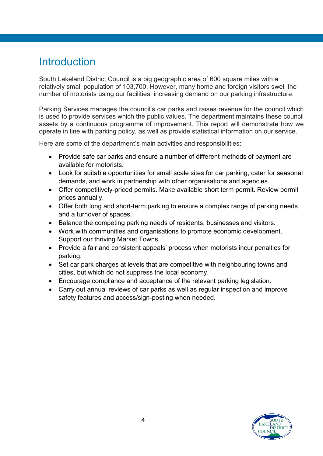## <span id="page-3-0"></span>**Introduction**

South Lakeland District Council is a big geographic area of 600 square miles with a relatively small population of 103,700. However, many home and foreign visitors swell the number of motorists using our facilities, increasing demand on our parking infrastructure.

Parking Services manages the council's car parks and raises revenue for the council which is used to provide services which the public values. The department maintains these council assets by a continuous programme of improvement. This report will demonstrate how we operate in line with parking policy, as well as provide statistical information on our service.

Here are some of the department's main activities and responsibilities:

- Provide safe car parks and ensure a number of different methods of payment are available for motorists.
- Look for suitable opportunities for small scale sites for car parking, cater for seasonal demands, and work in partnership with other organisations and agencies.
- Offer competitively-priced permits. Make available short term permit. Review permit prices annually.
- Offer both long and short-term parking to ensure a complex range of parking needs and a turnover of spaces.
- Balance the competing parking needs of residents, businesses and visitors.
- Work with communities and organisations to promote economic development. Support our thriving Market Towns.
- Provide a fair and consistent appeals' process when motorists incur penalties for parking.
- Set car park charges at levels that are competitive with neighbouring towns and cities, but which do not suppress the local economy.
- Encourage compliance and acceptance of the relevant parking legislation.
- Carry out annual reviews of car parks as well as regular inspection and improve safety features and access/sign-posting when needed.

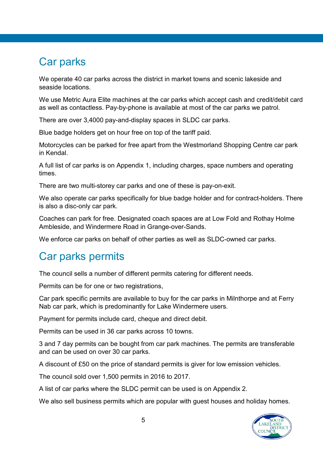## <span id="page-4-0"></span>Car parks

We operate 40 car parks across the district in market towns and scenic lakeside and seaside locations.

We use Metric Aura Elite machines at the car parks which accept cash and credit/debit card as well as contactless. Pay-by-phone is available at most of the car parks we patrol.

There are over 3,4000 pay-and-display spaces in SLDC car parks.

Blue badge holders get on hour free on top of the tariff paid.

Motorcycles can be parked for free apart from the Westmorland Shopping Centre car park in Kendal.

A full list of car parks is on Appendix 1, including charges, space numbers and operating times.

There are two multi-storey car parks and one of these is pay-on-exit.

We also operate car parks specifically for blue badge holder and for contract-holders. There is also a disc-only car park.

Coaches can park for free. Designated coach spaces are at Low Fold and Rothay Holme Ambleside, and Windermere Road in Grange-over-Sands.

We enforce car parks on behalf of other parties as well as SLDC-owned car parks.

## <span id="page-4-1"></span>Car parks permits

The council sells a number of different permits catering for different needs.

Permits can be for one or two registrations,

Car park specific permits are available to buy for the car parks in Milnthorpe and at Ferry Nab car park, which is predominantly for Lake Windermere users.

Payment for permits include card, cheque and direct debit.

Permits can be used in 36 car parks across 10 towns.

3 and 7 day permits can be bought from car park machines. The permits are transferable and can be used on over 30 car parks.

A discount of £50 on the price of standard permits is giver for low emission vehicles.

The council sold over 1,500 permits in 2016 to 2017.

A list of car parks where the SLDC permit can be used is on Appendix 2.

We also sell business permits which are popular with guest houses and holiday homes.

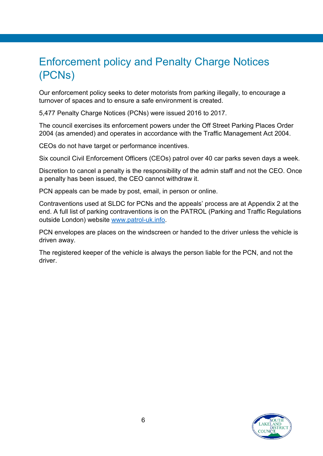# <span id="page-5-0"></span>Enforcement policy and Penalty Charge Notices (PCNs)

Our enforcement policy seeks to deter motorists from parking illegally, to encourage a turnover of spaces and to ensure a safe environment is created.

5,477 Penalty Charge Notices (PCNs) were issued 2016 to 2017.

The council exercises its enforcement powers under the Off Street Parking Places Order 2004 (as amended) and operates in accordance with the Traffic Management Act 2004.

CEOs do not have target or performance incentives.

Six council Civil Enforcement Officers (CEOs) patrol over 40 car parks seven days a week.

Discretion to cancel a penalty is the responsibility of the admin staff and not the CEO. Once a penalty has been issued, the CEO cannot withdraw it.

PCN appeals can be made by post, email, in person or online.

Contraventions used at SLDC for PCNs and the appeals' process are at Appendix 2 at the end. A full list of parking contraventions is on the PATROL (Parking and Traffic Regulations outside London) website [www.patrol-uk.info.](http://www.patrol-uk.info/)

PCN envelopes are places on the windscreen or handed to the driver unless the vehicle is driven away.

The registered keeper of the vehicle is always the person liable for the PCN, and not the driver.

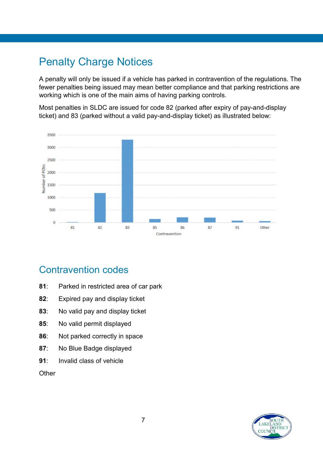# <span id="page-6-0"></span>Penalty Charge Notices

A penalty will only be issued if a vehicle has parked in contravention of the regulations. The fewer penalties being issued may mean better compliance and that parking restrictions are working which is one of the main aims of having parking controls.

Most penalties in SLDC are issued for code 82 (parked after expiry of pay-and-display ticket) and 83 (parked without a valid pay-and-display ticket) as illustrated below:



### <span id="page-6-1"></span>Contravention codes

- **81**: Parked in restricted area of car park
- **82**: Expired pay and display ticket
- **83**: No valid pay and display ticket
- **85**: No valid permit displayed
- **86**: Not parked correctly in space
- **87**: No Blue Badge displayed
- **91**: Invalid class of vehicle

**Other** 

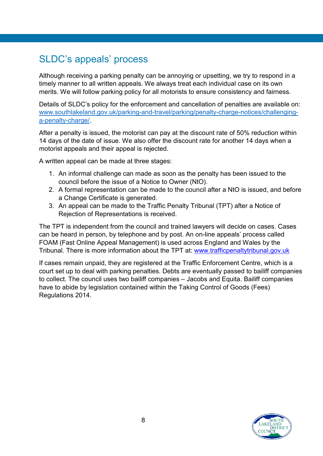## <span id="page-7-0"></span>SLDC's appeals' process

Although receiving a parking penalty can be annoying or upsetting, we try to respond in a timely manner to all written appeals. We always treat each individual case on its own merits. We will follow parking policy for all motorists to ensure consistency and fairness.

Details of SLDC's policy for the enforcement and cancellation of penalties are available on: [www.southlakeland.gov.uk/parking-and-travel/parking/penalty-charge-notices/challenging](https://www.southlakeland.gov.uk/parking-roads-and-travel/parking/parking-annual-report/)[a-penalty-charge/.](https://www.southlakeland.gov.uk/parking-roads-and-travel/parking/parking-annual-report/)

After a penalty is issued, the motorist can pay at the discount rate of 50% reduction within 14 days of the date of issue. We also offer the discount rate for another 14 days when a motorist appeals and their appeal is rejected.

A written appeal can be made at three stages:

- 1. An informal challenge can made as soon as the penalty has been issued to the council before the issue of a Notice to Owner (NtO).
- 2. A formal representation can be made to the council after a NtO is issued, and before a Change Certificate is generated.
- 3. An appeal can be made to the Traffic Penalty Tribunal (TPT) after a Notice of Rejection of Representations is received.

The TPT is independent from the council and trained lawyers will decide on cases. Cases can be heard in person, by telephone and by post. An on-line appeals' process called FOAM (Fast Online Appeal Management) is used across England and Wales by the Tribunal. There is more information about the TPT at: www.trafficpenaltytribunal.gov.uk

If cases remain unpaid, they are registered at the Traffic Enforcement Centre, which is a court set up to deal with parking penalties. Debts are eventually passed to bailiff companies to collect. The council uses two bailiff companies – Jacobs and Equita. Bailiff companies have to abide by legislation contained within the Taking Control of Goods (Fees) Regulations 2014.

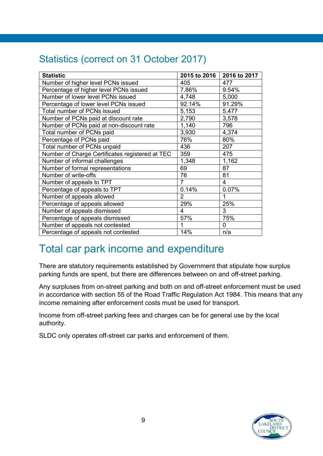## <span id="page-8-0"></span>Statistics (correct on 31 October 2017)

| <b>Statistic</b>                                | 2015 to 2016 | 2016 to 2017   |
|-------------------------------------------------|--------------|----------------|
| Number of higher level PCNs issued              | 405          | 477            |
| Percentage of higher level PCNs issued          | 7.86%        | 9.54%          |
| Number of lower level PCNs issued               | 4,748        | 5,000          |
| Percentage of lower level PCNs issued           | 92.14%       | 91.29%         |
| <b>Total number of PCNs issued</b>              | 5,153        | 5,477          |
| Number of PCNs paid at discount rate            | 2,790        | 3,578          |
| Number of PCNs paid at non-discount rate        | 1,140        | 796            |
| Total number of PCNs paid                       | 3,930        | 4,374          |
| Percentage of PCNs paid                         | 76%          | 80%            |
| Total number of PCNs unpaid                     | 436          | 207            |
| Number of Charge Certificates registered at TEC | 359          | 475            |
| Number of informal challenges                   | 1,348        | 1,162          |
| Number of formal representations                | 69           | 87             |
| Number of write-offs                            | 76           | 81             |
| Number of appeals to TPT                        | 7            | $\overline{4}$ |
| Percentage of appeals to TPT                    | 0.14%        | 0.07%          |
| Number of appeals allowed                       | 2            | 1              |
| Percentage of appeals allowed                   | 29%          | 25%            |
| Number of appeals dismissed                     | 4            | 3              |
| Percentage of appeals dismissed                 | 57%          | 75%            |
| Number of appeals not contested                 | 1            | $\mathbf 0$    |
| Percentage of appeals not contested             | 14%          | n/a            |

# <span id="page-8-1"></span>Total car park income and expenditure

There are statutory requirements established by Government that stipulate how surplus parking funds are spent, but there are differences between on and off-street parking.

Any surpluses from on-street parking and both on and off-street enforcement must be used in accordance with section 55 of the Road Traffic Regulation Act 1984. This means that any income remaining after enforcement costs must be used for transport.

Income from off-street parking fees and charges can be for general use by the local authority.

SLDC only operates off-street car parks and enforcement of them.

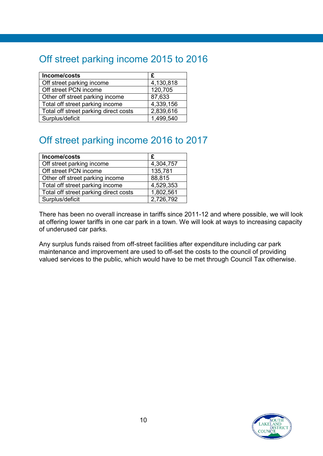## Off street parking income 2015 to 2016

| Income/costs                          | £         |
|---------------------------------------|-----------|
| Off street parking income             | 4,130,818 |
| Off street PCN income                 | 120,705   |
| Other off street parking income       | 87,633    |
| Total off street parking income       | 4,339,156 |
| Total off street parking direct costs | 2,839,616 |
| Surplus/deficit                       | 1,499,540 |

## Off street parking income 2016 to 2017

| Income/costs                          | £         |
|---------------------------------------|-----------|
| Off street parking income             | 4,304,757 |
| Off street PCN income                 | 135,781   |
| Other off street parking income       | 88,815    |
| Total off street parking income       | 4,529,353 |
| Total off street parking direct costs | 1,802,561 |
| Surplus/deficit                       | 2,726,792 |

There has been no overall increase in tariffs since 2011-12 and where possible, we will look at offering lower tariffs in one car park in a town. We will look at ways to increasing capacity of underused car parks.

Any surplus funds raised from off-street facilities after expenditure including car park maintenance and improvement are used to off-set the costs to the council of providing valued services to the public, which would have to be met through Council Tax otherwise.

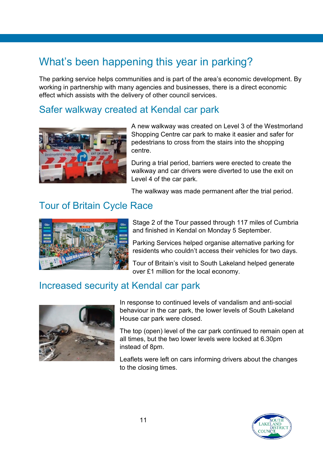# <span id="page-10-0"></span>What's been happening this year in parking?

The parking service helps communities and is part of the area's economic development. By working in partnership with many agencies and businesses, there is a direct economic effect which assists with the delivery of other council services.

### Safer walkway created at Kendal car park



A new walkway was created on Level 3 of the Westmorland Shopping Centre car park to make it easier and safer for pedestrians to cross from the stairs into the shopping centre.

During a trial period, barriers were erected to create the walkway and car drivers were diverted to use the exit on Level 4 of the car park.

The walkway was made permanent after the trial period.

## Tour of Britain Cycle Race



Stage 2 of the Tour passed through 117 miles of Cumbria and finished in Kendal on Monday 5 September.

Parking Services helped organise alternative parking for residents who couldn't access their vehicles for two days.

Tour of Britain's visit to South Lakeland helped generate over £1 million for the local economy.

### Increased security at Kendal car park



In response to continued levels of vandalism and anti-social behaviour in the car park, the lower levels of South Lakeland House car park were closed.

The top (open) level of the car park continued to remain open at all times, but the two lower levels were locked at 6.30pm instead of 8pm.

Leaflets were left on cars informing drivers about the changes to the closing times.

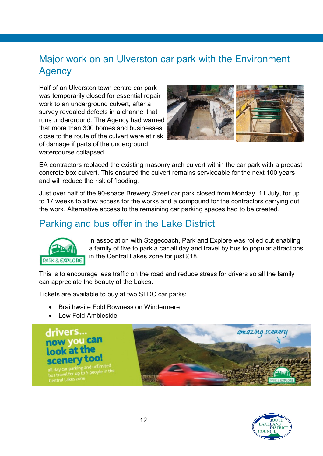### Major work on an Ulverston car park with the Environment **Agency**

Half of an Ulverston town centre car park was temporarily closed for essential repair work to an underground culvert, after a survey revealed defects in a channel that runs underground. The Agency had warned that more than 300 homes and businesses close to the route of the culvert were at risk of damage if parts of the underground watercourse collapsed.



EA contractors replaced the existing masonry arch culvert within the car park with a precast concrete box culvert. This ensured the culvert remains serviceable for the next 100 years and will reduce the risk of flooding.

Just over half of the 90-space Brewery Street car park closed from Monday, 11 July, for up to 17 weeks to allow access for the works and a compound for the contractors carrying out the work. Alternative access to the remaining car parking spaces had to be created.

### Parking and bus offer in the Lake District



In association with Stagecoach, Park and Explore was rolled out enabling a family of five to park a car all day and travel by bus to popular attractions in the Central Lakes zone for just £18.

This is to encourage less traffic on the road and reduce stress for drivers so all the family can appreciate the beauty of the Lakes.

Tickets are available to buy at two SLDC car parks:

- Braithwaite Fold Bowness on Windermere
- Low Fold Ambleside



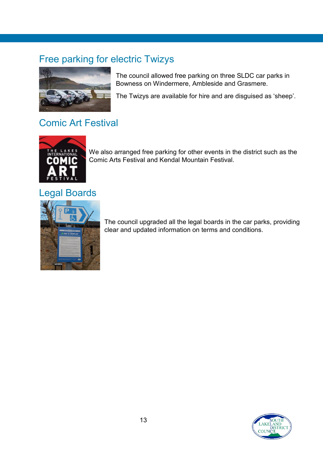## Free parking for electric Twizys



The council allowed free parking on three SLDC car parks in Bowness on Windermere, Ambleside and Grasmere.

The Twizys are available for hire and are disguised as 'sheep'.

### Comic Art Festival



We also arranged free parking for other events in the district such as the Comic Arts Festival and Kendal Mountain Festival.

### Legal Boards



The council upgraded all the legal boards in the car parks, providing clear and updated information on terms and conditions.

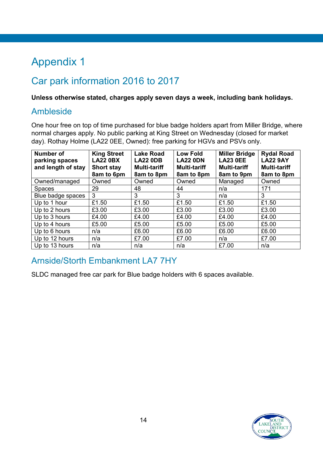# <span id="page-13-0"></span>Appendix 1

## Car park information 2016 to 2017

**Unless otherwise stated, charges apply seven days a week, including bank holidays.**

#### Ambleside

One hour free on top of time purchased for blue badge holders apart from Miller Bridge, where normal charges apply. No public parking at King Street on Wednesday (closed for market day). Rothay Holme (LA22 0EE, Owned): free parking for HGVs and PSVs only.

| <b>Number of</b><br>parking spaces<br>and length of stay | <b>King Street</b><br><b>LA22 0BX</b><br><b>Short stay</b><br>8am to 6pm | <b>Lake Road</b><br><b>LA22 0DB</b><br><b>Multi-tariff</b><br>8am to 8pm | <b>Low Fold</b><br><b>LA22 0DN</b><br><b>Multi-tariff</b><br>8am to 8pm | <b>Miller Bridge</b><br><b>LA23 0EE</b><br><b>Multi-tariff</b><br>8am to 9pm | <b>Rydal Road</b><br><b>LA22 9AY</b><br><b>Multi-tariff</b><br>8am to 8pm |
|----------------------------------------------------------|--------------------------------------------------------------------------|--------------------------------------------------------------------------|-------------------------------------------------------------------------|------------------------------------------------------------------------------|---------------------------------------------------------------------------|
| Owned/managed                                            | Owned                                                                    | Owned                                                                    | Owned                                                                   | Managed                                                                      | Owned                                                                     |
| <b>Spaces</b>                                            | 29                                                                       | 48                                                                       | 44                                                                      | n/a                                                                          | 171                                                                       |
| Blue badge spaces                                        | 3                                                                        | 3                                                                        | 3                                                                       | n/a                                                                          | 3                                                                         |
| Up to 1 hour                                             | £1.50                                                                    | £1.50                                                                    | £1.50                                                                   | £1.50                                                                        | £1.50                                                                     |
| Up to 2 hours                                            | £3.00                                                                    | £3.00                                                                    | £3.00                                                                   | £3.00                                                                        | £3.00                                                                     |
| Up to 3 hours                                            | £4.00                                                                    | £4.00                                                                    | £4.00                                                                   | £4.00                                                                        | £4.00                                                                     |
| Up to 4 hours                                            | £5.00                                                                    | £5.00                                                                    | £5.00                                                                   | £5.00                                                                        | £5.00                                                                     |
| Up to 6 hours                                            | n/a                                                                      | £6.00                                                                    | £6.00                                                                   | £6.00                                                                        | £6.00                                                                     |
| Up to 12 hours                                           | n/a                                                                      | £7.00                                                                    | £7.00                                                                   | n/a                                                                          | £7.00                                                                     |
| Up to 13 hours                                           | n/a                                                                      | n/a                                                                      | n/a                                                                     | £7.00                                                                        | n/a                                                                       |

### Arnside/Storth Embankment LA7 7HY

SLDC managed free car park for Blue badge holders with 6 spaces available.

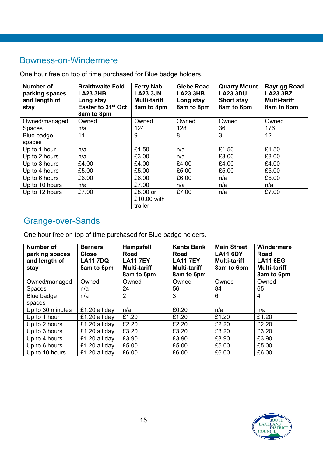### Bowness-on-Windermere

One hour free on top of time purchased for Blue badge holders.

| <b>Number of</b><br>parking spaces<br>and length of<br>stay | <b>Braithwaite Fold</b><br><b>LA23 3HB</b><br>Long stay<br>Easter to 31 <sup>st</sup> Oct<br>8am to 8pm | <b>Ferry Nab</b><br><b>LA23 3JN</b><br><b>Multi-tariff</b><br>8am to 8pm | <b>Glebe Road</b><br><b>LA23 3HB</b><br>Long stay<br>8am to 8pm | <b>Quarry Mount</b><br><b>LA23 3DU</b><br><b>Short stay</b><br>8am to 6pm | <b>Rayrigg Road</b><br><b>LA23 3BZ</b><br><b>Multi-tariff</b><br>8am to 8pm |
|-------------------------------------------------------------|---------------------------------------------------------------------------------------------------------|--------------------------------------------------------------------------|-----------------------------------------------------------------|---------------------------------------------------------------------------|-----------------------------------------------------------------------------|
| Owned/managed                                               | Owned                                                                                                   | Owned                                                                    | Owned                                                           | Owned                                                                     | Owned                                                                       |
| <b>Spaces</b>                                               | n/a                                                                                                     | 124                                                                      | 128                                                             | 36                                                                        | 176                                                                         |
| Blue badge                                                  | 11                                                                                                      | 9                                                                        | 8                                                               | 3                                                                         | 12                                                                          |
| spaces                                                      |                                                                                                         |                                                                          |                                                                 |                                                                           |                                                                             |
| Up to 1 hour                                                | n/a                                                                                                     | £1.50                                                                    | n/a                                                             | £1.50                                                                     | £1.50                                                                       |
| Up to 2 hours                                               | n/a                                                                                                     | £3.00                                                                    | n/a                                                             | £3.00                                                                     | £3.00                                                                       |
| Up to 3 hours                                               | £4.00                                                                                                   | £4.00                                                                    | £4.00                                                           | £4.00                                                                     | £4.00                                                                       |
| Up to 4 hours                                               | £5.00                                                                                                   | £5.00                                                                    | £5.00                                                           | £5.00                                                                     | £5.00                                                                       |
| Up to 6 hours                                               | £6.00                                                                                                   | £6.00                                                                    | £6.00                                                           | n/a                                                                       | £6.00                                                                       |
| Up to 10 hours                                              | n/a                                                                                                     | £7.00                                                                    | n/a                                                             | n/a                                                                       | n/a                                                                         |
| Up to 12 hours                                              | £7.00                                                                                                   | $£8.00$ or<br>£10.00 with<br>trailer                                     | £7.00                                                           | n/a                                                                       | £7.00                                                                       |

### Grange-over-Sands

One hour free on top of time purchased for Blue badge holders.

| <b>Number of</b><br>parking spaces<br>and length of<br>stay | <b>Berners</b><br><b>Close</b><br><b>LA11 7DQ</b><br>8am to 6pm | <b>Hampsfell</b><br>Road<br><b>LA117EY</b><br><b>Multi-tariff</b><br>8am to 6pm | <b>Kents Bank</b><br>Road<br><b>LA11 7EY</b><br><b>Multi-tariff</b><br>8am to 6pm | <b>Main Street</b><br><b>LA11 6DY</b><br><b>Multi-tariff</b><br>8am to 6pm | Windermere<br>Road<br><b>LA11 6EG</b><br><b>Multi-tariff</b><br>8am to 6pm |
|-------------------------------------------------------------|-----------------------------------------------------------------|---------------------------------------------------------------------------------|-----------------------------------------------------------------------------------|----------------------------------------------------------------------------|----------------------------------------------------------------------------|
| Owned/managed                                               | Owned                                                           | Owned                                                                           | Owned                                                                             | Owned                                                                      | Owned                                                                      |
| <b>Spaces</b>                                               | n/a                                                             | 24                                                                              | 56                                                                                | 84                                                                         | 65                                                                         |
| Blue badge                                                  | n/a                                                             | $\overline{2}$                                                                  | 3                                                                                 | 6                                                                          | $\overline{4}$                                                             |
| spaces                                                      |                                                                 |                                                                                 |                                                                                   |                                                                            |                                                                            |
| Up to 30 minutes                                            | £1.20 all day                                                   | n/a                                                                             | £0.20                                                                             | n/a                                                                        | n/a                                                                        |
| Up to 1 hour                                                | £1.20 all day                                                   | £1.20                                                                           | £1.20                                                                             | £1.20                                                                      | £1.20                                                                      |
| Up to 2 hours                                               | £1.20 all day                                                   | £2.20                                                                           | £2.20                                                                             | £2.20                                                                      | £2.20                                                                      |
| Up to 3 hours                                               | £1.20 all day                                                   | £3.20                                                                           | £3.20                                                                             | £3.20                                                                      | £3.20                                                                      |
| Up to 4 hours                                               | £1.20 all day                                                   | £3.90                                                                           | £3.90                                                                             | £3.90                                                                      | £3.90                                                                      |
| Up to 6 hours                                               | £1.20 all day                                                   | £5.00                                                                           | £5.00                                                                             | £5.00                                                                      | £5.00                                                                      |
| Up to 10 hours                                              | £1.20 all day                                                   | £6.00                                                                           | £6.00                                                                             | £6.00                                                                      | £6.00                                                                      |

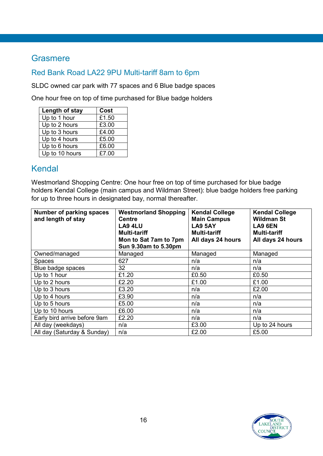#### **Grasmere**

#### Red Bank Road LA22 9PU Multi-tariff 8am to 6pm

SLDC owned car park with 77 spaces and 6 Blue badge spaces

One hour free on top of time purchased for Blue badge holders

| Length of stay | Cost  |
|----------------|-------|
| Up to 1 hour   | £1.50 |
| Up to 2 hours  | £3.00 |
| Up to 3 hours  | £4.00 |
| Up to 4 hours  | £5.00 |
| Up to 6 hours  | £6.00 |
| Up to 10 hours | £7.00 |

### Kendal

Westmorland Shopping Centre: One hour free on top of time purchased for blue badge holders Kendal College (main campus and Wildman Street): blue badge holders free parking for up to three hours in designated bay, normal thereafter.

| Number of parking spaces<br>and length of stay | <b>Westmorland Shopping</b><br><b>Centre</b><br><b>LA9 4LU</b><br><b>Multi-tariff</b><br>Mon to Sat 7am to 7pm<br>Sun 9.30am to 5.30pm | <b>Kendal College</b><br><b>Main Campus</b><br><b>LA9 5AY</b><br><b>Multi-tariff</b><br>All days 24 hours | <b>Kendal College</b><br><b>Wildman St</b><br>LA9 6EN<br><b>Multi-tariff</b><br>All days 24 hours |
|------------------------------------------------|----------------------------------------------------------------------------------------------------------------------------------------|-----------------------------------------------------------------------------------------------------------|---------------------------------------------------------------------------------------------------|
| Owned/managed                                  | Managed                                                                                                                                | Managed                                                                                                   | Managed                                                                                           |
| <b>Spaces</b>                                  | 627                                                                                                                                    | n/a                                                                                                       | n/a                                                                                               |
| Blue badge spaces                              | 32                                                                                                                                     | n/a                                                                                                       | n/a                                                                                               |
| Up to 1 hour                                   | £1.20                                                                                                                                  | £0.50                                                                                                     | £0.50                                                                                             |
| Up to 2 hours                                  | £2.20                                                                                                                                  | £1.00                                                                                                     | £1.00                                                                                             |
| Up to 3 hours                                  | £3.20                                                                                                                                  | n/a                                                                                                       | £2.00                                                                                             |
| Up to 4 hours                                  | £3.90                                                                                                                                  | n/a                                                                                                       | n/a                                                                                               |
| Up to 5 hours                                  | £5.00                                                                                                                                  | n/a                                                                                                       | n/a                                                                                               |
| Up to 10 hours                                 | £6.00                                                                                                                                  | n/a                                                                                                       | n/a                                                                                               |
| Early bird arrive before 9am                   | £2.20                                                                                                                                  | n/a                                                                                                       | n/a                                                                                               |
| All day (weekdays)                             | n/a                                                                                                                                    | £3.00                                                                                                     | Up to 24 hours                                                                                    |
| All day (Saturday & Sunday)                    | n/a                                                                                                                                    | £2.00                                                                                                     | £5.00                                                                                             |

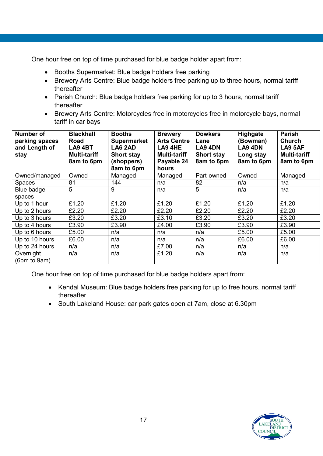One hour free on top of time purchased for blue badge holder apart from:

- Booths Supermarket: Blue badge holders free parking
- Brewery Arts Centre: Blue badge holders free parking up to three hours, normal tariff thereafter
- Parish Church: Blue badge holders free parking for up to 3 hours, normal tariff thereafter
- Brewery Arts Centre: Motorcycles free in motorcycles free in motorcycle bays, normal tariff in car bays

| <b>Number of</b><br>parking spaces<br>and Length of<br>stay | <b>Blackhall</b><br>Road<br>LA9 4BT<br><b>Multi-tariff</b><br>8am to 6pm | <b>Booths</b><br><b>Supermarket</b><br>LA6 2AD<br><b>Short stay</b><br>(shoppers)<br>8am to 6pm | <b>Brewery</b><br><b>Arts Centre</b><br>LA9 4HE<br><b>Multi-tariff</b><br>Payable 24<br>hours | <b>Dowkers</b><br>Lane<br>LA9 4DN<br><b>Short stay</b><br>8am to 6pm | <b>Highgate</b><br>(Bowman)<br>LA9 4DN<br>Long stay<br>8am to 6pm | <b>Parish</b><br><b>Church</b><br>LA9 5AF<br><b>Multi-tariff</b><br>8am to 6pm |
|-------------------------------------------------------------|--------------------------------------------------------------------------|-------------------------------------------------------------------------------------------------|-----------------------------------------------------------------------------------------------|----------------------------------------------------------------------|-------------------------------------------------------------------|--------------------------------------------------------------------------------|
| Owned/managed                                               | Owned                                                                    | Managed                                                                                         | Managed                                                                                       | Part-owned                                                           | Owned                                                             | Managed                                                                        |
| <b>Spaces</b>                                               | 81                                                                       | 144                                                                                             | n/a                                                                                           | 82                                                                   | n/a                                                               | n/a                                                                            |
| Blue badge                                                  | 5                                                                        | 9                                                                                               | n/a                                                                                           | 5                                                                    | n/a                                                               | n/a                                                                            |
| spaces                                                      |                                                                          |                                                                                                 |                                                                                               |                                                                      |                                                                   |                                                                                |
| Up to 1 hour                                                | £1.20                                                                    | £1.20                                                                                           | £1.20                                                                                         | £1.20                                                                | £1.20                                                             | £1.20                                                                          |
| Up to 2 hours                                               | £2.20                                                                    | £2.20                                                                                           | £2.20                                                                                         | £2.20                                                                | £2.20                                                             | £2.20                                                                          |
| Up to 3 hours                                               | £3.20                                                                    | £3.20                                                                                           | £3.10                                                                                         | £3.20                                                                | £3.20                                                             | £3.20                                                                          |
| Up to 4 hours                                               | £3.90                                                                    | £3.90                                                                                           | £4.00                                                                                         | £3.90                                                                | £3.90                                                             | £3.90                                                                          |
| Up to 6 hours                                               | £5.00                                                                    | n/a                                                                                             | n/a                                                                                           | n/a                                                                  | £5.00                                                             | £5.00                                                                          |
| Up to 10 hours                                              | £6.00                                                                    | n/a                                                                                             | n/a                                                                                           | n/a                                                                  | £6.00                                                             | £6.00                                                                          |
| Up to 24 hours                                              | n/a                                                                      | n/a                                                                                             | £7.00                                                                                         | n/a                                                                  | n/a                                                               | n/a                                                                            |
| Overnight<br>(6pm to 9am)                                   | n/a                                                                      | n/a                                                                                             | £1.20                                                                                         | n/a                                                                  | n/a                                                               | n/a                                                                            |

One hour free on top of time purchased for blue badge holders apart from:

- Kendal Museum: Blue badge holders free parking for up to free hours, normal tariff thereafter
- South Lakeland House: car park gates open at 7am, close at 6.30pm

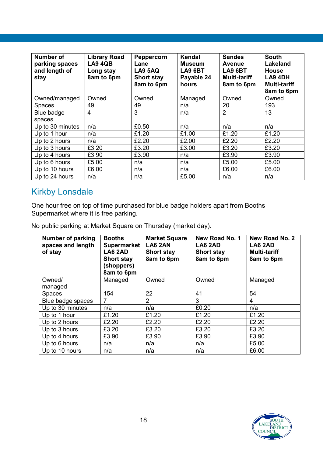| Number of<br>parking spaces<br>and length of<br>stay | <b>Library Road</b><br><b>LA9 4QB</b><br>Long stay<br>8am to 6pm | Peppercorn<br>Lane<br><b>LA9 5AQ</b><br><b>Short stay</b><br>8am to 6pm | Kendal<br><b>Museum</b><br><b>LA9 6BT</b><br>Payable 24<br>hours | <b>Sandes</b><br><b>Avenue</b><br><b>LA9 6BT</b><br><b>Multi-tariff</b><br>8am to 6pm | <b>South</b><br>Lakeland<br><b>House</b><br>LA9 4DH<br><b>Multi-tariff</b><br>8am to 6pm |
|------------------------------------------------------|------------------------------------------------------------------|-------------------------------------------------------------------------|------------------------------------------------------------------|---------------------------------------------------------------------------------------|------------------------------------------------------------------------------------------|
| Owned/managed                                        | Owned                                                            | Owned                                                                   | Managed                                                          | Owned                                                                                 | Owned                                                                                    |
| <b>Spaces</b>                                        | 49                                                               | 49                                                                      | n/a                                                              | 20                                                                                    | 193                                                                                      |
| Blue badge                                           | $\overline{4}$                                                   | 3                                                                       | n/a                                                              | $\overline{2}$                                                                        | 13                                                                                       |
| spaces                                               |                                                                  |                                                                         |                                                                  |                                                                                       |                                                                                          |
| Up to 30 minutes                                     | n/a                                                              | £0.50                                                                   | n/a                                                              | n/a                                                                                   | n/a                                                                                      |
| Up to 1 hour                                         | n/a                                                              | £1.20                                                                   | £1.00                                                            | £1.20                                                                                 | £1.20                                                                                    |
| Up to 2 hours                                        | n/a                                                              | £2.20                                                                   | £2.00                                                            | £2.20                                                                                 | £2.20                                                                                    |
| Up to 3 hours                                        | £3.20                                                            | £3.20                                                                   | £3.00                                                            | £3.20                                                                                 | £3.20                                                                                    |
| Up to 4 hours                                        | £3.90                                                            | £3.90                                                                   | n/a                                                              | £3.90                                                                                 | £3.90                                                                                    |
| Up to 6 hours                                        | £5.00                                                            | n/a                                                                     | n/a                                                              | £5.00                                                                                 | £5.00                                                                                    |
| Up to 10 hours                                       | £6.00                                                            | n/a                                                                     | n/a                                                              | £6.00                                                                                 | £6.00                                                                                    |
| Up to 24 hours                                       | n/a                                                              | n/a                                                                     | £5.00                                                            | n/a                                                                                   | n/a                                                                                      |

### Kirkby Lonsdale

One hour free on top of time purchased for blue badge holders apart from Booths Supermarket where it is free parking.

No public parking at Market Square on Thursday (market day).

| Number of parking<br>spaces and length<br>of stay | <b>Booths</b><br><b>Supermarket</b><br>LA6 2AD<br><b>Short stay</b><br>(shoppers)<br>8am to 6pm | <b>Market Square</b><br><b>LA6 2AN</b><br><b>Short stay</b><br>8am to 6pm | New Road No. 1<br>LA6 2AD<br><b>Short stay</b><br>8am to 6pm | New Road No. 2<br>LA6 2AD<br><b>Multi-tariff</b><br>8am to 6pm |
|---------------------------------------------------|-------------------------------------------------------------------------------------------------|---------------------------------------------------------------------------|--------------------------------------------------------------|----------------------------------------------------------------|
| Owned/                                            | Managed                                                                                         | Owned                                                                     | Owned                                                        | Managed                                                        |
| managed                                           |                                                                                                 |                                                                           |                                                              |                                                                |
| <b>Spaces</b>                                     | 154                                                                                             | 22                                                                        | 41                                                           | 54                                                             |
| Blue badge spaces                                 | $\overline{7}$                                                                                  | $\overline{2}$                                                            | 3                                                            | 4                                                              |
| Up to 30 minutes                                  | n/a                                                                                             | n/a                                                                       | £0.20                                                        | n/a                                                            |
| Up to 1 hour                                      | £1.20                                                                                           | £1.20                                                                     | £1.20                                                        | £1.20                                                          |
| Up to 2 hours                                     | £2.20                                                                                           | £2.20                                                                     | £2.20                                                        | £2.20                                                          |
| Up to 3 hours                                     | £3.20                                                                                           | £3.20                                                                     | £3.20                                                        | £3.20                                                          |
| Up to 4 hours                                     | £3.90                                                                                           | £3.90                                                                     | £3.90                                                        | £3.90                                                          |
| Up to 6 hours                                     | n/a                                                                                             | n/a                                                                       | n/a                                                          | £5.00                                                          |
| Up to 10 hours                                    | n/a                                                                                             | n/a                                                                       | n/a                                                          | £6.00                                                          |

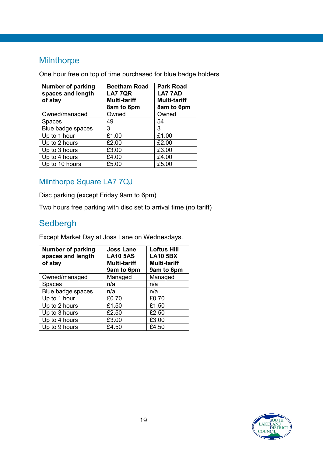### **Milnthorpe**

One hour free on top of time purchased for blue badge holders

| <b>Number of parking</b><br>spaces and length<br>of stay | <b>Beetham Road</b><br><b>LA7 7QR</b><br><b>Multi-tariff</b><br>8am to 6pm | <b>Park Road</b><br><b>LA77AD</b><br><b>Multi-tariff</b><br>8am to 6pm |
|----------------------------------------------------------|----------------------------------------------------------------------------|------------------------------------------------------------------------|
| Owned/managed                                            | Owned                                                                      | Owned                                                                  |
| <b>Spaces</b>                                            | 49                                                                         | 54                                                                     |
| Blue badge spaces                                        | 3                                                                          | 3                                                                      |
| Up to 1 hour                                             | £1.00                                                                      | £1.00                                                                  |
| Up to 2 hours                                            | £2.00                                                                      | £2.00                                                                  |
| Up to 3 hours                                            | £3.00                                                                      | £3.00                                                                  |
| Up to 4 hours                                            | £4.00                                                                      | £4.00                                                                  |
| Up to 10 hours                                           | £5.00                                                                      | £5.00                                                                  |

#### Milnthorpe Square LA7 7QJ

Disc parking (except Friday 9am to 6pm)

Two hours free parking with disc set to arrival time (no tariff)

### Sedbergh

Except Market Day at Joss Lane on Wednesdays.

| <b>Number of parking</b><br>spaces and length<br>of stay | <b>Joss Lane</b><br><b>LA10 5AS</b><br><b>Multi-tariff</b><br>9am to 6pm | <b>Loftus Hill</b><br><b>LA10 5BX</b><br><b>Multi-tariff</b><br>9am to 6pm |
|----------------------------------------------------------|--------------------------------------------------------------------------|----------------------------------------------------------------------------|
| Owned/managed                                            | Managed                                                                  | Managed                                                                    |
| <b>Spaces</b>                                            | n/a                                                                      | n/a                                                                        |
| Blue badge spaces                                        | n/a                                                                      | n/a                                                                        |
| Up to 1 hour                                             | £0.70                                                                    | £0.70                                                                      |
| Up to 2 hours                                            | £1.50                                                                    | £1.50                                                                      |
| Up to 3 hours                                            | £2.50                                                                    | £2.50                                                                      |
| Up to 4 hours                                            | £3.00                                                                    | £3.00                                                                      |
| Up to 9 hours                                            | £4.50                                                                    | £4.50                                                                      |

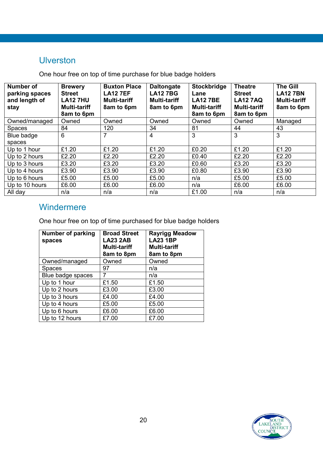### Ulverston

One hour free on top of time purchase for blue badge holders

| <b>Number of</b><br>parking spaces<br>and length of<br>stay | <b>Brewery</b><br><b>Street</b><br><b>LA12 7HU</b><br><b>Multi-tariff</b><br>8am to 6pm | <b>Buxton Place</b><br><b>LA12 7EF</b><br><b>Multi-tariff</b><br>8am to 6pm | <b>Daltongate</b><br><b>LA127BG</b><br><b>Multi-tariff</b><br>8am to 6pm | Stockbridge<br>Lane<br><b>LA127BE</b><br><b>Multi-tariff</b><br>8am to 6pm | <b>Theatre</b><br><b>Street</b><br><b>LA12 7AQ</b><br><b>Multi-tariff</b><br>8am to 6pm | <b>The Gill</b><br><b>LA12 7BN</b><br><b>Multi-tariff</b><br>8am to 6pm |
|-------------------------------------------------------------|-----------------------------------------------------------------------------------------|-----------------------------------------------------------------------------|--------------------------------------------------------------------------|----------------------------------------------------------------------------|-----------------------------------------------------------------------------------------|-------------------------------------------------------------------------|
| Owned/managed                                               | Owned                                                                                   | Owned                                                                       | Owned                                                                    | Owned                                                                      | Owned                                                                                   | Managed                                                                 |
| <b>Spaces</b>                                               | 84                                                                                      | 120                                                                         | 34                                                                       | 81                                                                         | 44                                                                                      | 43                                                                      |
| Blue badge                                                  | 6                                                                                       |                                                                             | 4                                                                        | 3                                                                          | 3                                                                                       | 3                                                                       |
| spaces                                                      |                                                                                         |                                                                             |                                                                          |                                                                            |                                                                                         |                                                                         |
| Up to 1 hour                                                | £1.20                                                                                   | £1.20                                                                       | £1.20                                                                    | £0.20                                                                      | £1.20                                                                                   | £1.20                                                                   |
| Up to 2 hours                                               | £2.20                                                                                   | £2.20                                                                       | £2.20                                                                    | £0.40                                                                      | £2.20                                                                                   | £2.20                                                                   |
| Up to 3 hours                                               | £3.20                                                                                   | £3.20                                                                       | £3.20                                                                    | £0.60                                                                      | £3.20                                                                                   | £3.20                                                                   |
| Up to 4 hours                                               | £3.90                                                                                   | £3.90                                                                       | £3.90                                                                    | £0.80                                                                      | £3.90                                                                                   | £3.90                                                                   |
| Up to 6 hours                                               | £5.00                                                                                   | £5.00                                                                       | £5.00                                                                    | n/a                                                                        | £5.00                                                                                   | £5.00                                                                   |
| Up to 10 hours                                              | £6.00                                                                                   | £6.00                                                                       | £6.00                                                                    | n/a                                                                        | £6.00                                                                                   | £6.00                                                                   |
| All day                                                     | n/a                                                                                     | n/a                                                                         | n/a                                                                      | £1.00                                                                      | n/a                                                                                     | n/a                                                                     |

### Windermere

One hour free on top of time purchased for blue badge holders

<span id="page-19-0"></span>

| <b>Number of parking</b><br>spaces | <b>Broad Street</b><br><b>LA23 2AB</b><br><b>Multi-tariff</b><br>8am to 8pm | <b>Rayrigg Meadow</b><br><b>LA23 1BP</b><br><b>Multi-tariff</b><br>8am to 8pm |
|------------------------------------|-----------------------------------------------------------------------------|-------------------------------------------------------------------------------|
| Owned/managed                      | Owned                                                                       | Owned                                                                         |
| Spaces                             | 97                                                                          | n/a                                                                           |
| Blue badge spaces                  |                                                                             | n/a                                                                           |
| Up to 1 hour                       | £1.50                                                                       | £1.50                                                                         |
| Up to 2 hours                      | £3.00                                                                       | £3.00                                                                         |
| Up to 3 hours                      | £4.00                                                                       | £4.00                                                                         |
| Up to 4 hours                      | £5.00                                                                       | £5.00                                                                         |
| Up to 6 hours                      | £6.00                                                                       | £6.00                                                                         |
| Up to 12 hours                     | £7.00                                                                       | £7.00                                                                         |

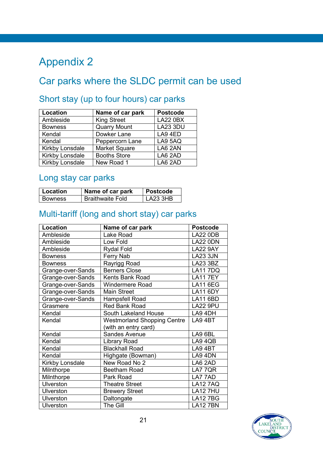# Appendix 2

## Car parks where the SLDC permit can be used

### Short stay (up to four hours) car parks

| Location        | Name of car park     | <b>Postcode</b> |
|-----------------|----------------------|-----------------|
| Ambleside       | <b>King Street</b>   | <b>LA22 0BX</b> |
| <b>Bowness</b>  | <b>Quarry Mount</b>  | <b>LA23 3DU</b> |
| Kendal          | Dowker Lane          | LA9 4ED         |
| Kendal          | Peppercorn Lane      | LA9 5AQ         |
| Kirkby Lonsdale | <b>Market Square</b> | LA6 2AN         |
| Kirkby Lonsdale | <b>Booths Store</b>  | LA6 2AD         |
| Kirkby Lonsdale | New Road 1           | LA6 2AD         |

### Long stay car parks

| Location       | Name of car park        | <b>Postcode</b> |
|----------------|-------------------------|-----------------|
| <b>Bowness</b> | <b>Braithwaite Fold</b> | LA23 3HB        |

### Multi-tariff (long and short stay) car parks

| Location          | Name of car park                   | <b>Postcode</b> |
|-------------------|------------------------------------|-----------------|
| Ambleside         | Lake Road                          | <b>LA22 0DB</b> |
| Ambleside         | Low Fold                           | <b>LA22 0DN</b> |
| Ambleside         | <b>Rydal Fold</b>                  | <b>LA22 9AY</b> |
| <b>Bowness</b>    | Ferry Nab                          | <b>LA23 3JN</b> |
| <b>Bowness</b>    | Rayrigg Road                       | LA23 3BZ        |
| Grange-over-Sands | <b>Berners Close</b>               | <b>LA117DQ</b>  |
| Grange-over-Sands | <b>Kents Bank Road</b>             | <b>LA117EY</b>  |
| Grange-over-Sands | <b>Windermere Road</b>             | <b>LA11 6EG</b> |
| Grange-over-Sands | <b>Main Street</b>                 | <b>LA11 6DY</b> |
| Grange-over-Sands | Hampsfell Road                     | <b>LA11 6BD</b> |
| Grasmere          | <b>Red Bank Road</b>               | <b>LA22 9PU</b> |
| Kendal            | South Lakeland House               | LA9 4DH         |
| Kendal            | <b>Westmorland Shopping Centre</b> | LA94BT          |
|                   | (with an entry card)               |                 |
| Kendal            | <b>Sandes Avenue</b>               | LA9 6BL         |
| Kendal            | Library Road                       | LA9 4QB         |
| Kendal            | <b>Blackhall Road</b>              | LA9 4BT         |
| Kendal            | Highgate (Bowman)                  | LA9 4DN         |
| Kirkby Lonsdale   | New Road No 2                      | LA6 2AD         |
| Milnthorpe        | <b>Beetham Road</b>                | LA7 7QR         |
| Milnthorpe        | Park Road                          | LA7 7AD         |
| <b>Ulverston</b>  | <b>Theatre Street</b>              | <b>LA12 7AQ</b> |
| Ulverston         | <b>Brewery Street</b>              | <b>LA12 7HU</b> |
| <b>Ulverston</b>  | Daltongate                         | <b>LA12 7BG</b> |
| Ulverston         | The Gill                           | <b>LA12 7BN</b> |